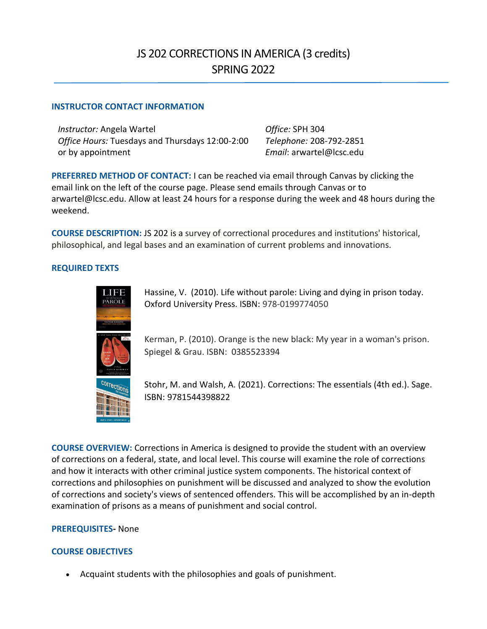## JS 202 CORRECTIONS IN AMERICA (3 credits) SPRING 2022

## **INSTRUCTOR CONTACT INFORMATION**

*Instructor:* Angela Wartel *Office:* SPH 304 *Office Hours:* Tuesdays and Thursdays 12:00-2:00 or by appointment

*Telephone:* 208-792-2851 *Email*: arwartel@lcsc.edu

**PREFERRED METHOD OF CONTACT:** I can be reached via email through Canvas by clicking the email link on the left of the course page. Please send emails through Canvas or to arwartel@lcsc.edu. Allow at least 24 hours for a response during the week and 48 hours during the weekend.

**COURSE DESCRIPTION:** JS 202 is a survey of correctional procedures and institutions' historical, philosophical, and legal bases and an examination of current problems and innovations.

## **REQUIRED TEXTS**



Hassine, V. (2010). Life without parole: Living and dying in prison today. Oxford University Press. ISBN: 978-0199774050

Kerman, P. (2010). Orange is the new black: My year in a woman's prison. Spiegel & Grau. ISBN: 0385523394



Stohr, M. and Walsh, A. (2021). Corrections: The essentials (4th ed.). Sage. ISBN: 9781544398822

**COURSE OVERVIEW:** Corrections in America is designed to provide the student with an overview of corrections on a federal, state, and local level. This course will examine the role of corrections and how it interacts with other criminal justice system components. The historical context of corrections and philosophies on punishment will be discussed and analyzed to show the evolution of corrections and society's views of sentenced offenders. This will be accomplished by an in-depth examination of prisons as a means of punishment and social control.

## **PREREQUISITES-** None

## **COURSE OBJECTIVES**

• Acquaint students with the philosophies and goals of punishment.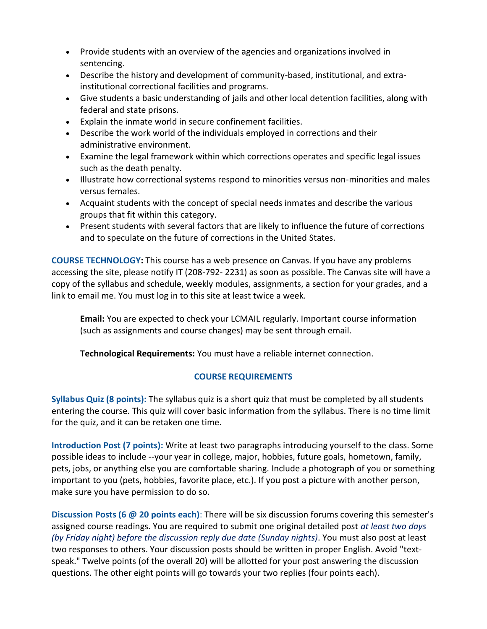- Provide students with an overview of the agencies and organizations involved in sentencing.
- Describe the history and development of community-based, institutional, and extrainstitutional correctional facilities and programs.
- Give students a basic understanding of jails and other local detention facilities, along with federal and state prisons.
- Explain the inmate world in secure confinement facilities.
- Describe the work world of the individuals employed in corrections and their administrative environment.
- Examine the legal framework within which corrections operates and specific legal issues such as the death penalty.
- Illustrate how correctional systems respond to minorities versus non-minorities and males versus females.
- Acquaint students with the concept of special needs inmates and describe the various groups that fit within this category.
- Present students with several factors that are likely to influence the future of corrections and to speculate on the future of corrections in the United States.

**COURSE TECHNOLOGY:** This course has a web presence on Canvas. If you have any problems accessing the site, please notify IT (208-792- 2231) as soon as possible. The Canvas site will have a copy of the syllabus and schedule, weekly modules, assignments, a section for your grades, and a link to email me. You must log in to this site at least twice a week.

**Email:** You are expected to check your LCMAIL regularly. Important course information (such as assignments and course changes) may be sent through email.

**Technological Requirements:** You must have a reliable internet connection.

## **COURSE REQUIREMENTS**

**Syllabus Quiz (8 points):** The syllabus quiz is a short quiz that must be completed by all students entering the course. This quiz will cover basic information from the syllabus. There is no time limit for the quiz, and it can be retaken one time.

**Introduction Post (7 points):** Write at least two paragraphs introducing yourself to the class. Some possible ideas to include --your year in college, major, hobbies, future goals, hometown, family, pets, jobs, or anything else you are comfortable sharing. Include a photograph of you or something important to you (pets, hobbies, favorite place, etc.). If you post a picture with another person, make sure you have permission to do so.

**Discussion Posts (6 @ 20 points each)**: There will be six discussion forums covering this semester's assigned course readings. You are required to submit one original detailed post *at least two days (by Friday night) before the discussion reply due date (Sunday nights)*. You must also post at least two responses to others. Your discussion posts should be written in proper English. Avoid "textspeak." Twelve points (of the overall 20) will be allotted for your post answering the discussion questions. The other eight points will go towards your two replies (four points each).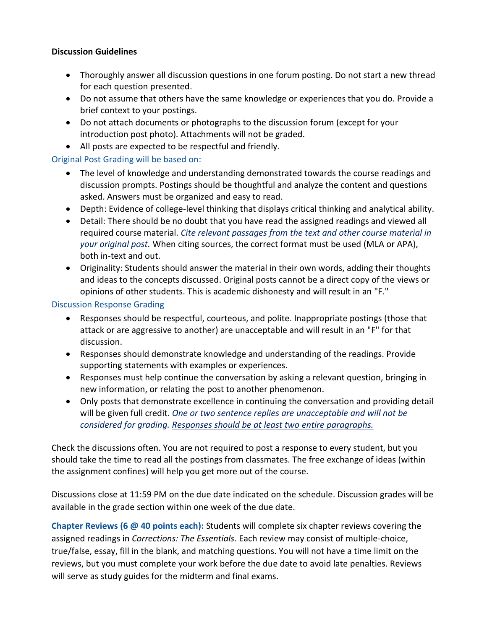## **Discussion Guidelines**

- Thoroughly answer all discussion questions in one forum posting. Do not start a new thread for each question presented.
- Do not assume that others have the same knowledge or experiences that you do. Provide a brief context to your postings.
- Do not attach documents or photographs to the discussion forum (except for your introduction post photo). Attachments will not be graded.
- All posts are expected to be respectful and friendly.

## Original Post Grading will be based on:

- The level of knowledge and understanding demonstrated towards the course readings and discussion prompts. Postings should be thoughtful and analyze the content and questions asked. Answers must be organized and easy to read.
- Depth: Evidence of college-level thinking that displays critical thinking and analytical ability.
- Detail: There should be no doubt that you have read the assigned readings and viewed all required course material. *Cite relevant passages from the text and other course material in your original post.* When citing sources, the correct format must be used (MLA or APA), both in-text and out.
- Originality: Students should answer the material in their own words, adding their thoughts and ideas to the concepts discussed. Original posts cannot be a direct copy of the views or opinions of other students. This is academic dishonesty and will result in an "F."

## Discussion Response Grading

- Responses should be respectful, courteous, and polite. Inappropriate postings (those that attack or are aggressive to another) are unacceptable and will result in an "F" for that discussion.
- Responses should demonstrate knowledge and understanding of the readings. Provide supporting statements with examples or experiences.
- Responses must help continue the conversation by asking a relevant question, bringing in new information, or relating the post to another phenomenon.
- Only posts that demonstrate excellence in continuing the conversation and providing detail will be given full credit. *One or two sentence replies are unacceptable and will not be considered for grading. Responses should be at least two entire paragraphs.*

Check the discussions often. You are not required to post a response to every student, but you should take the time to read all the postings from classmates. The free exchange of ideas (within the assignment confines) will help you get more out of the course.

Discussions close at 11:59 PM on the due date indicated on the schedule. Discussion grades will be available in the grade section within one week of the due date.

**Chapter Reviews (6 @ 40 points each):** Students will complete six chapter reviews covering the assigned readings in *Corrections: The Essentials*. Each review may consist of multiple-choice, true/false, essay, fill in the blank, and matching questions. You will not have a time limit on the reviews, but you must complete your work before the due date to avoid late penalties. Reviews will serve as study guides for the midterm and final exams.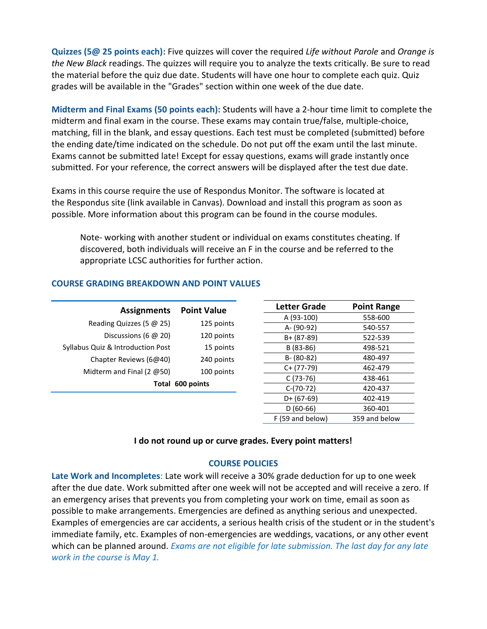**Quizzes (5@ 25 points each):** Five quizzes will cover the required *Life without Parole* and *Orange is the New Black* readings. The quizzes will require you to analyze the texts critically. Be sure to read the material before the quiz due date. Students will have one hour to complete each quiz. Quiz grades will be available in the "Grades" section within one week of the due date.

**Midterm and Final Exams (50 points each):** Students will have a 2-hour time limit to complete the midterm and final exam in the course. These exams may contain true/false, multiple-choice, matching, fill in the blank, and essay questions. Each test must be completed (submitted) before the ending date/time indicated on the schedule. Do not put off the exam until the last minute. Exams cannot be submitted late! Except for essay questions, exams will grade instantly once submitted. For your reference, the correct answers will be displayed after the test due date.

Exams in this course require the use of Respondus Monitor. The software is located at the Respondus site (link available in Canvas). Download and install this program as soon as possible. More information about this program can be found in the course modules.

Note- working with another student or individual on exams constitutes cheating. If discovered, both individuals will receive an F in the course and be referred to the appropriate LCSC authorities for further action.

| <b>Assignments</b>                | <b>Point Value</b> | <b>Letter Grade</b> | <b>Point Range</b> |
|-----------------------------------|--------------------|---------------------|--------------------|
|                                   |                    | A (93-100)          | 558-600            |
| Reading Quizzes (5 $@$ 25)        | 125 points         | A- (90-92)          | 540-557            |
| Discussions (6 $@$ 20)            | 120 points         | $B + (87-89)$       | 522-539            |
| Syllabus Quiz & Introduction Post | 15 points          | B (83-86)           | 498-521            |
| Chapter Reviews (6@40)            | 240 points         | $B - (80-82)$       | 480-497            |
| Midterm and Final (2 $@50$ )      | 100 points         | $C+ (77-79)$        | 462-479            |
| Total 600 points                  |                    | $C(73-76)$          | 438-461            |
|                                   |                    | $C-(70-72)$         | 420-437            |
|                                   |                    | $D+ (67-69)$        | 402-419            |
|                                   |                    | $D(60-66)$          | 360-401            |

## **COURSE GRADING BREAKDOWN AND POINT VALUES**

#### **I do not round up or curve grades. Every point matters!**

F (59 and below) 359 and below

## **COURSE POLICIES**

**Late Work and Incompletes**: Late work will receive a 30% grade deduction for up to one week after the due date. Work submitted after one week will not be accepted and will receive a zero. If an emergency arises that prevents you from completing your work on time, email as soon as possible to make arrangements. Emergencies are defined as anything serious and unexpected. Examples of emergencies are car accidents, a serious health crisis of the student or in the student's immediate family, etc. Examples of non-emergencies are weddings, vacations, or any other event which can be planned around. *Exams are not eligible for late submission. The last day for any late work in the course is May 1.*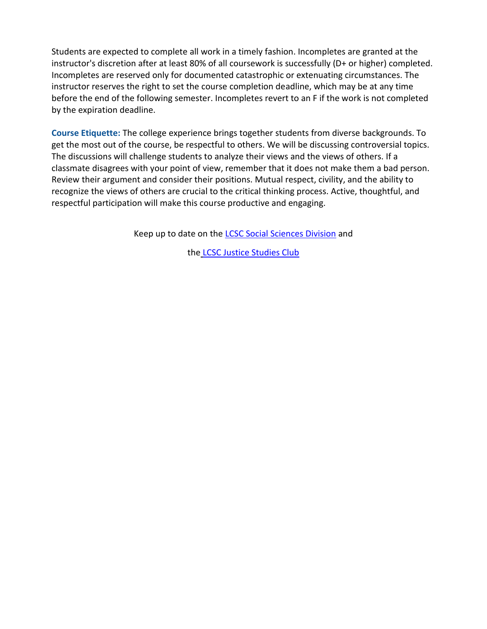Students are expected to complete all work in a timely fashion. Incompletes are granted at the instructor's discretion after at least 80% of all coursework is successfully (D+ or higher) completed. Incompletes are reserved only for documented catastrophic or extenuating circumstances. The instructor reserves the right to set the course completion deadline, which may be at any time before the end of the following semester. Incompletes revert to an F if the work is not completed by the expiration deadline.

**Course Etiquette:** The college experience brings together students from diverse backgrounds. To get the most out of the course, be respectful to others. We will be discussing controversial topics. The discussions will challenge students to analyze their views and the views of others. If a classmate disagrees with your point of view, remember that it does not make them a bad person. Review their argument and consider their positions. Mutual respect, civility, and the ability to recognize the views of others are crucial to the critical thinking process. Active, thoughtful, and respectful participation will make this course productive and engaging.

Keep up to date on the [LCSC Social Sciences Division](https://www.facebook.com/LCSCSocScienceDiv) and

the [LCSC Justice Studies Club](https://www.facebook.com/LCSCJSClub)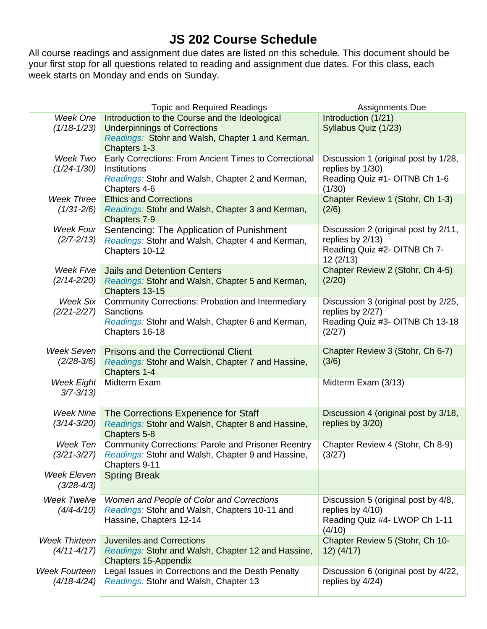# **JS 202 Course Schedule**

All course readings and assignment due dates are listed on this schedule. This document should be your first stop for all questions related to reading and assignment due dates. For this class, each week starts on Monday and ends on Sunday.

|                                  | <b>Topic and Required Readings</b>                                                         | <b>Assignments Due</b>                                   |
|----------------------------------|--------------------------------------------------------------------------------------------|----------------------------------------------------------|
| Week One                         | Introduction to the Course and the Ideological                                             | Introduction (1/21)                                      |
| $(1/18 - 1/23)$                  | <b>Underpinnings of Corrections</b>                                                        | Syllabus Quiz (1/23)                                     |
|                                  | Readings: Stohr and Walsh, Chapter 1 and Kerman,                                           |                                                          |
|                                  | Chapters 1-3                                                                               |                                                          |
| Week Two                         | Early Corrections: From Ancient Times to Correctional                                      | Discussion 1 (original post by 1/28,                     |
| $(1/24 - 1/30)$                  | Institutions                                                                               | replies by 1/30)                                         |
|                                  | Readings: Stohr and Walsh, Chapter 2 and Kerman,                                           | Reading Quiz #1- OITNB Ch 1-6                            |
|                                  | Chapters 4-6                                                                               | (1/30)                                                   |
| <b>Week Three</b>                | <b>Ethics and Corrections</b>                                                              | Chapter Review 1 (Stohr, Ch 1-3)                         |
| $(1/31 - 2/6)$                   | Readings: Stohr and Walsh, Chapter 3 and Kerman,<br>Chapters 7-9                           | (2/6)                                                    |
| <b>Week Four</b>                 | Sentencing: The Application of Punishment                                                  | Discussion 2 (original post by 2/11,                     |
| $(2/7 - 2/13)$                   | Readings: Stohr and Walsh, Chapter 4 and Kerman,                                           | replies by 2/13)                                         |
|                                  | Chapters 10-12                                                                             | Reading Quiz #2- OITNB Ch 7-                             |
|                                  |                                                                                            | 12(2/13)                                                 |
| Week Five                        | <b>Jails and Detention Centers</b>                                                         | Chapter Review 2 (Stohr, Ch 4-5)                         |
| $(2/14 - 2/20)$                  | Readings: Stohr and Walsh, Chapter 5 and Kerman,                                           | (2/20)                                                   |
|                                  | Chapters 13-15                                                                             |                                                          |
| <b>Week Six</b>                  | <b>Community Corrections: Probation and Intermediary</b>                                   | Discussion 3 (original post by 2/25,                     |
| $(2/21 - 2/27)$                  | Sanctions                                                                                  | replies by 2/27)                                         |
|                                  | Readings: Stohr and Walsh, Chapter 6 and Kerman,                                           | Reading Quiz #3- OITNB Ch 13-18                          |
|                                  | Chapters 16-18                                                                             | (2/27)                                                   |
| Week Seven                       | <b>Prisons and the Correctional Client</b>                                                 | Chapter Review 3 (Stohr, Ch 6-7)                         |
| $(2/28-3/6)$                     | Readings: Stohr and Walsh, Chapter 7 and Hassine,                                          | (3/6)                                                    |
|                                  | Chapters 1-4                                                                               |                                                          |
| <b>Week Eight</b>                | Midterm Exam                                                                               | Midterm Exam (3/13)                                      |
| $3/7 - 3/13$                     |                                                                                            |                                                          |
|                                  |                                                                                            |                                                          |
| <b>Week Nine</b>                 | The Corrections Experience for Staff                                                       | Discussion 4 (original post by 3/18,                     |
| $(3/14 - 3/20)$                  | Readings: Stohr and Walsh, Chapter 8 and Hassine,                                          | replies by 3/20)                                         |
|                                  | Chapters 5-8                                                                               |                                                          |
| Week Ten                         | <b>Community Corrections: Parole and Prisoner Reentry</b>                                  | Chapter Review 4 (Stohr, Ch 8-9)                         |
| $(3/21 - 3/27)$                  | Readings: Stohr and Walsh, Chapter 9 and Hassine,                                          | (3/27)                                                   |
|                                  | Chapters 9-11                                                                              |                                                          |
| Week Eleven                      | <b>Spring Break</b>                                                                        |                                                          |
| $(3/28-4/3)$                     |                                                                                            |                                                          |
| Week Twelve                      | Women and People of Color and Corrections                                                  | Discussion 5 (original post by 4/8,                      |
| $(4/4 - 4/10)$                   | Readings: Stohr and Walsh, Chapters 10-11 and                                              | replies by 4/10)                                         |
|                                  | Hassine, Chapters 12-14                                                                    | Reading Quiz #4- LWOP Ch 1-11                            |
|                                  |                                                                                            | (4/10)                                                   |
| <b>Week Thirteen</b>             | <b>Juveniles and Corrections</b>                                                           | Chapter Review 5 (Stohr, Ch 10-                          |
| $(4/11 - 4/17)$                  | Readings: Stohr and Walsh, Chapter 12 and Hassine,                                         | $12)$ (4/17)                                             |
|                                  | <b>Chapters 15-Appendix</b>                                                                |                                                          |
| Week Fourteen<br>$(4/18 - 4/24)$ | Legal Issues in Corrections and the Death Penalty<br>Readings: Stohr and Walsh, Chapter 13 | Discussion 6 (original post by 4/22,<br>replies by 4/24) |
|                                  |                                                                                            |                                                          |